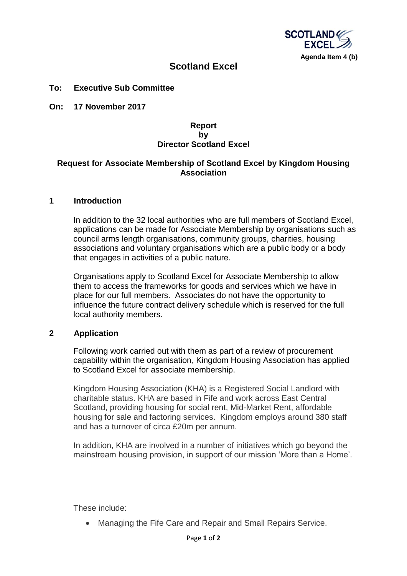

# **Scotland Excel**

### **To: Executive Sub Committee**

**On: 17 November 2017**

# **Report by Director Scotland Excel**

#### **Request for Associate Membership of Scotland Excel by Kingdom Housing Association**

#### **1 Introduction**

In addition to the 32 local authorities who are full members of Scotland Excel, applications can be made for Associate Membership by organisations such as council arms length organisations, community groups, charities, housing associations and voluntary organisations which are a public body or a body that engages in activities of a public nature.

Organisations apply to Scotland Excel for Associate Membership to allow them to access the frameworks for goods and services which we have in place for our full members. Associates do not have the opportunity to influence the future contract delivery schedule which is reserved for the full local authority members.

# **2 Application**

Following work carried out with them as part of a review of procurement capability within the organisation, Kingdom Housing Association has applied to Scotland Excel for associate membership.

Kingdom Housing Association (KHA) is a Registered Social Landlord with charitable status. KHA are based in Fife and work across East Central Scotland, providing housing for social rent, Mid-Market Rent, affordable housing for sale and factoring services. Kingdom employs around 380 staff and has a turnover of circa £20m per annum.

In addition, KHA are involved in a number of initiatives which go beyond the mainstream housing provision, in support of our mission 'More than a Home'.

These include:

• Managing the Fife Care and Repair and Small Repairs Service.